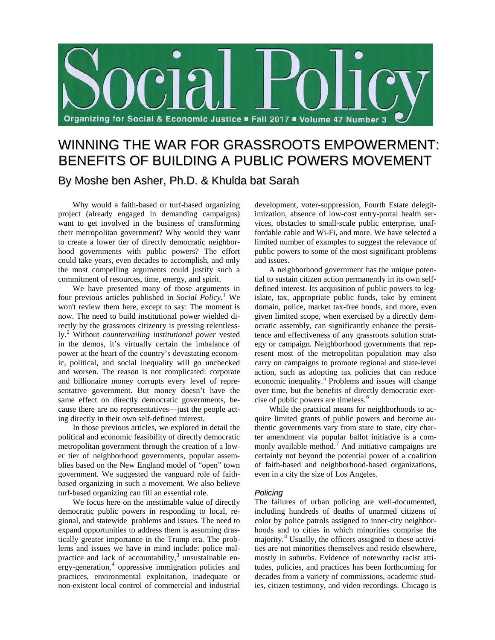

# WINNING THE WAR FOR GRASSROOTS EMPOWERMENT: BENEFITS OF BUILDING A PUBLIC POWERS MOVEMENT By Moshe ben Asher, Ph.D. & Khulda bat Sarah

Why would a faith-based or turf-based organizing project (already engaged in demanding campaigns) want to get involved in the business of transforming their metropolitan government? Why would they want to create a lower tier of directly democratic neighborhood governments with public powers? The effort could take years, even decades to accomplish, and only the most compelling arguments could justify such a commitment of resources, time, energy, and spirit.

We have presented many of those arguments in four previous articles published in *Social Policy*. [1](#page-2-0) We won't review them here, except to say: The moment is now. The need to build institutional power wielded directly by the grassroots citizenry is pressing relentlessly. [2](#page-2-1) Without *countervailing institutional power* vested in the demos, it's virtually certain the imbalance of power at the heart of the country's devastating economic, political, and social inequality will go unchecked and worsen. The reason is not complicated: corporate and billionaire money corrupts every level of representative government. But money doesn't have the same effect on directly democratic governments, because there are no representatives—just the people acting directly in their own self-defined interest.

In those previous articles, we explored in detail the political and economic feasibility of directly democratic metropolitan government through the creation of a lower tier of neighborhood governments, popular assemblies based on the New England model of "open" town government. We suggested the vanguard role of faithbased organizing in such a movement. We also believe turf-based organizing can fill an essential role.

We focus here on the inestimable value of directly democratic public powers in responding to local, regional, and statewide problems and issues. The need to expand opportunities to address them is assuming drastically greater importance in the Trump era. The problems and issues we have in mind include: police mal-practice and lack of accountability,<sup>[3](#page-2-2)</sup> unsustainable energy-generation, [4](#page-2-3) oppressive immigration policies and practices, environmental exploitation, inadequate or non-existent local control of commercial and industrial

development, voter-suppression, Fourth Estate delegitimization, absence of low-cost entry-portal health services, obstacles to small-scale public enterprise, unaffordable cable and Wi-Fi, and more. We have selected a limited number of examples to suggest the relevance of public powers to some of the most significant problems and issues.

A neighborhood government has the unique potential to sustain citizen action permanently in its own selfdefined interest. Its acquisition of public powers to legislate, tax, appropriate public funds, take by eminent domain, police, market tax-free bonds, and more, even given limited scope, when exercised by a directly democratic assembly, can significantly enhance the persistence and effectiveness of any grassroots solution strategy or campaign. Neighborhood governments that represent most of the metropolitan population may also carry on campaigns to promote regional and state-level action, such as adopting tax policies that can reduce economic inequality.<sup>[5](#page-3-0)</sup> Problems and issues will change over time, but the benefits of directly democratic exer-cise of public powers are timeless.<sup>[6](#page-3-1)</sup>

While the practical means for neighborhoods to acquire limited grants of public powers and become authentic governments vary from state to state, city charter amendment via popular ballot initiative is a com-monly available method.<sup>[7](#page-3-2)</sup> And initiative campaigns are certainly not beyond the potential power of a coalition of faith-based and neighborhood-based organizations, even in a city the size of Los Angeles.

## *Policing*

The failures of urban policing are well-documented, including hundreds of deaths of unarmed citizens of color by police patrols assigned to inner-city neighborhoods and to cities in which minorities comprise the majority. [8](#page-3-3) Usually, the officers assigned to these activities are not minorities themselves and reside elsewhere, mostly in suburbs. Evidence of noteworthy racist attitudes, policies, and practices has been forthcoming for decades from a variety of commissions, academic studies, citizen testimony, and video recordings. Chicago is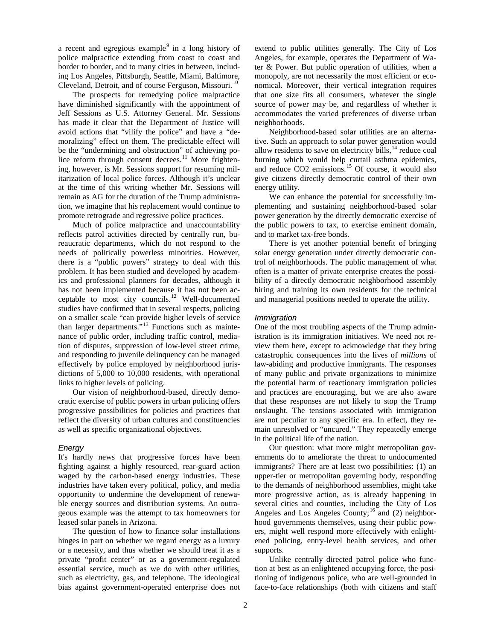a recent and egregious example $9$  in a long history of police malpractice extending from coast to coast and border to border, and to many cities in between, including Los Angeles, Pittsburgh, Seattle, Miami, Baltimore, Cleveland, Detroit, and of course Ferguson, Missouri.<sup>[10](#page-4-1)</sup>

The prospects for remedying police malpractice have diminished significantly with the appointment of Jeff Sessions as U.S. Attorney General. Mr. Sessions has made it clear that the Department of Justice will avoid actions that "vilify the police" and have a "demoralizing" effect on them. The predictable effect will be the "undermining and obstruction" of achieving po-lice reform through consent decrees.<sup>[11](#page-4-2)</sup> More frightening, however, is Mr. Sessions support for resuming militarization of local police forces. Although it's unclear at the time of this writing whether Mr. Sessions will remain as AG for the duration of the Trump administration, we imagine that his replacement would continue to promote retrograde and regressive police practices.

Much of police malpractice and unaccountability reflects patrol activities directed by centrally run, bureaucratic departments, which do not respond to the needs of politically powerless minorities. However, there is a "public powers" strategy to deal with this problem. It has been studied and developed by academics and professional planners for decades, although it has not been implemented because it has not been ac-ceptable to most city councils.<sup>[12](#page-4-3)</sup> Well-documented studies have confirmed that in several respects, policing on a smaller scale "can provide higher levels of service than larger departments."<sup>[13](#page-4-4)</sup> Functions such as maintenance of public order, including traffic control, mediation of disputes, suppression of low-level street crime, and responding to juvenile delinquency can be managed effectively by police employed by neighborhood jurisdictions of 5,000 to 10,000 residents, with operational links to higher levels of policing.

Our vision of neighborhood-based, directly democratic exercise of public powers in urban policing offers progressive possibilities for policies and practices that reflect the diversity of urban cultures and constituencies as well as specific organizational objectives.

#### *Energy*

It's hardly news that progressive forces have been fighting against a highly resourced, rear-guard action waged by the carbon-based energy industries. These industries have taken every political, policy, and media opportunity to undermine the development of renewable energy sources and distribution systems. An outrageous example was the attempt to tax homeowners for leased solar panels in Arizona.

The question of how to finance solar installations hinges in part on whether we regard energy as a luxury or a necessity, and thus whether we should treat it as a private "profit center" or as a government-regulated essential service, much as we do with other utilities, such as electricity, gas, and telephone. The ideological bias against government-operated enterprise does not extend to public utilities generally. The City of Los Angeles, for example, operates the Department of Water & Power. But public operation of utilities, when a monopoly, are not necessarily the most efficient or economical. Moreover, their vertical integration requires that one size fits all consumers, whatever the single source of power may be, and regardless of whether it accommodates the varied preferences of diverse urban neighborhoods.

Neighborhood-based solar utilities are an alternative. Such an approach to solar power generation would allow residents to save on electricity bills,<sup>[14](#page-4-5)</sup> reduce coal burning which would help curtail asthma epidemics, and reduce CO2 emissions.[15](#page-4-6) Of course, it would also give citizens directly democratic control of their own energy utility.

We can enhance the potential for successfully implementing and sustaining neighborhood-based solar power generation by the directly democratic exercise of the public powers to tax, to exercise eminent domain, and to market tax-free bonds.

There is yet another potential benefit of bringing solar energy generation under directly democratic control of neighborhoods. The public management of what often is a matter of private enterprise creates the possibility of a directly democratic neighborhood assembly hiring and training its own residents for the technical and managerial positions needed to operate the utility.

#### *Immigration*

One of the most troubling aspects of the Trump administration is its immigration initiatives. We need not review them here, except to acknowledge that they bring catastrophic consequences into the lives of *millions* of law-abiding and productive immigrants. The responses of many public and private organizations to minimize the potential harm of reactionary immigration policies and practices are encouraging, but we are also aware that these responses are not likely to stop the Trump onslaught. The tensions associated with immigration are not peculiar to any specific era. In effect, they remain unresolved or "uncured." They repeatedly emerge in the political life of the nation.

Our question: what more might metropolitan governments do to ameliorate the threat to undocumented immigrants? There are at least two possibilities: (1) an upper-tier or metropolitan governing body, responding to the demands of neighborhood assemblies, might take more progressive action, as is already happening in several cities and counties, including the City of Los Angeles and Los Angeles County;<sup>[16](#page-4-7)</sup> and (2) neighborhood governments themselves, using their public powers, might well respond more effectively with enlightened policing, entry-level health services, and other supports.

Unlike centrally directed patrol police who function at best as an enlightened occupying force, the positioning of indigenous police, who are well-grounded in face-to-face relationships (both with citizens and staff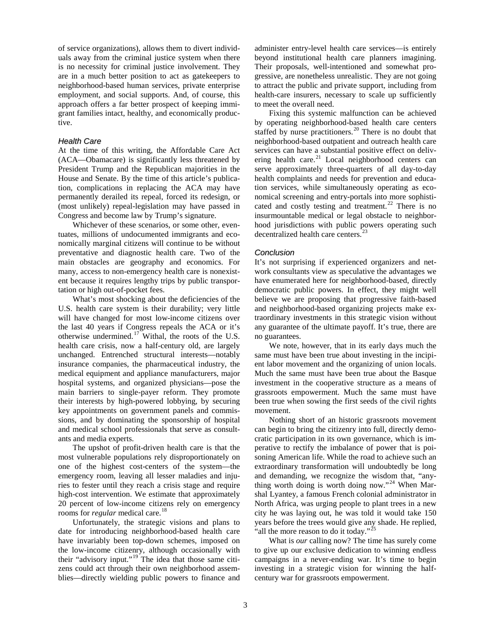<span id="page-2-1"></span><span id="page-2-0"></span>of service organizations), allows them to divert individuals away from the criminal justice system when there is no necessity for criminal justice involvement. They are in a much better position to act as gatekeepers to neighborhood-based human services, private enterprise employment, and social supports. And, of course, this approach offers a far better prospect of keeping immigrant families intact, healthy, and economically productive.

### <span id="page-2-3"></span><span id="page-2-2"></span>*Health Care*

At the time of this writing, the Affordable Care Act (ACA—Obamacare) is significantly less threatened by President Trump and the Republican majorities in the House and Senate. By the time of this article's publication, complications in replacing the ACA may have permanently derailed its repeal, forced its redesign, or (most unlikely) repeal-legislation may have passed in Congress and become law by Trump's signature.

Whichever of these scenarios, or some other, eventuates, millions of undocumented immigrants and economically marginal citizens will continue to be without preventative and diagnostic health care. Two of the main obstacles are geography and economics. For many, access to non-emergency health care is nonexistent because it requires lengthy trips by public transportation or high out-of-pocket fees.

What's most shocking about the deficiencies of the U.S. health care system is their durability; very little will have changed for most low-income citizens over the last 40 years if Congress repeals the ACA or it's otherwise undermined. [17](#page-4-8) Withal, the roots of the U.S. health care crisis, now a half-century old, are largely unchanged. Entrenched structural interests—notably insurance companies, the pharmaceutical industry, the medical equipment and appliance manufacturers, major hospital systems, and organized physicians—pose the main barriers to single-payer reform. They promote their interests by high-powered lobbying, by securing key appointments on government panels and commissions, and by dominating the sponsorship of hospital and medical school professionals that serve as consultants and media experts.

The upshot of profit-driven health care is that the most vulnerable populations rely disproportionately on one of the highest cost-centers of the system—the emergency room, leaving all lesser maladies and injuries to fester until they reach a crisis stage and require high-cost intervention. We estimate that approximately 20 percent of low-income citizens rely on emergency rooms for *regular* medical care.<sup>[18](#page-4-9)</sup>

Unfortunately, the strategic visions and plans to date for introducing neighborhood-based health care have invariably been top-down schemes, imposed on the low-income citizenry, although occasionally with their "advisory input."<sup>[19](#page-4-10)</sup> The idea that those same citizens could act through their own neighborhood assemblies—directly wielding public powers to finance and

administer entry-level health care services—is entirely beyond institutional health care planners imagining. Their proposals, well-intentioned and somewhat progressive, are nonetheless unrealistic. They are not going to attract the public and private support, including from health-care insurers, necessary to scale up sufficiently to meet the overall need.

Fixing this systemic malfunction can be achieved by operating neighborhood-based health care centers staffed by nurse practitioners.<sup>[20](#page-4-11)</sup> There is no doubt that neighborhood-based outpatient and outreach health care services can have a substantial positive effect on delivering health care. $^{21}$  $^{21}$  $^{21}$  Local neighborhood centers can serve approximately three-quarters of all day-to-day health complaints and needs for prevention and education services, while simultaneously operating as economical screening and entry-portals into more sophisti-cated and costly testing and treatment.<sup>[22](#page-4-13)</sup> There is no insurmountable medical or legal obstacle to neighborhood jurisdictions with public powers operating such decentralized health care centers.<sup>[23](#page-4-14)</sup>

# *Conclusion*

It's not surprising if experienced organizers and network consultants view as speculative the advantages we have enumerated here for neighborhood-based, directly democratic public powers. In effect, they might well believe we are proposing that progressive faith-based and neighborhood-based organizing projects make extraordinary investments in this strategic vision without any guarantee of the ultimate payoff. It's true, there are no guarantees.

We note, however, that in its early days much the same must have been true about investing in the incipient labor movement and the organizing of union locals. Much the same must have been true about the Basque investment in the cooperative structure as a means of grassroots empowerment. Much the same must have been true when sowing the first seeds of the civil rights movement.

Nothing short of an historic grassroots movement can begin to bring the citizenry into full, directly democratic participation in its own governance, which is imperative to rectify the imbalance of power that is poisoning American life. While the road to achieve such an extraordinary transformation will undoubtedly be long and demanding, we recognize the wisdom that, "any-thing worth doing is worth doing now."<sup>[24](#page-4-15)</sup> When Marshal Lyantey, a famous French colonial administrator in North Africa, was urging people to plant trees in a new city he was laying out, he was told it would take 150 years before the trees would give any shade. He replied, "all the more reason to do it today."<sup>[25](#page-4-16)</sup>

What is *our* calling now? The time has surely come to give up our exclusive dedication to winning endless campaigns in a never-ending war. It's time to begin investing in a strategic vision for winning the halfcentury war for grassroots empowerment.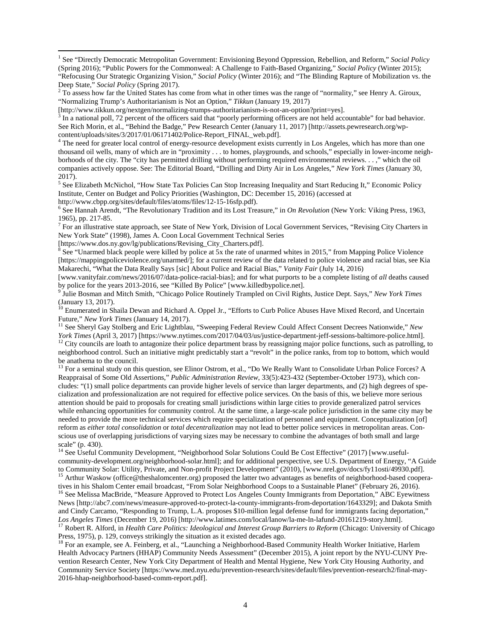$\frac{3}{3}$  In a national poll, 72 percent of the officers said that "poorly performing officers are not held accountable" for bad behavior. See Rich Morin, et al., "Behind the Badge," Pew Research Center (January 11, 2017) [http://assets.pewresearch.org/wpcontent/uploads/sites/3/2017/01/06171402/Police-Report\_FINAL\_web.pdf].<br><sup>4</sup> The need for greater local control of energy-resource development exists currently in Los Angeles, which has more than one

thousand oil wells, many of which are in "proximity . . . to homes, playgrounds, and schools," especially in lower-income neighborhoods of the city. The "city has permitted drilling without performing required environmental reviews. . . ," which the oil companies actively oppose. See: The Editorial Board, "Drilling and Dirty Air in Los Angeles," *New York Times* (January 30, 2017).

<span id="page-3-0"></span><sup>5</sup> See Elizabeth McNichol, "How State Tax Policies Can Stop Increasing Inequality and Start Reducing It," Economic Policy Institute, Center on Budget and Policy Priorities (Washington, DC: December 15, 2016) (accessed at

<span id="page-3-1"></span>http://www.cbpp.org/sites/default/files/atoms/files/12-15-16sfp.pdf).<br><sup>6</sup> See Hannah Arendt, "The Revolutionary Tradition and its Lost Treasure," in *On Revolution* (New York: Viking Press, 1963,

1965), pp. 217-85.<br><sup>7</sup> For an illustrative state approach, see State of New York, Division of Local Government Services, "Revising City Charters in

<span id="page-3-2"></span>New York State" (1998), James A. Coon Local Government Technical Series

 $\overline{a}$ 

<span id="page-3-3"></span>[https://www.dos.ny.gov/lg/publications/Revising\_City\_Charters.pdf].<br><sup>8</sup> See "Unarmed black people were killed by police at 5x the rate of unarmed whites in 2015," from Mapping Police Violence [https://mappingpoliceviolence.org/unarmed/]; for a current review of the data related to police violence and racial bias, see Kia Makarechi, "What the Data Really Says [sic] About Police and Racial Bias," *Vanity Fair* (July 14, 2016)

[www.vanityfair.com/news/2016/07/data-police-racial-bias]; and for what purports to be a complete listing of *all* deaths caused

<sup>9</sup> Julie Bosman and Mitch Smith, "Chicago Police Routinely Trampled on Civil Rights, Justice Dept. Says," *New York Times* (January 13, 2017).

<sup>10</sup> Enumerated in Shaila Dewan and Richard A. Oppel Jr., "Efforts to Curb Police Abuses Have Mixed Record, and Uncertain Future," *New York Times* (January 14, 2017).<br><sup>11</sup> See Sheryl Gay Stolberg and Eric Lightblau, "Sweeping Federal Review Could Affect Consent Decrees Nationwide," *New* 

York Times (April 3, 2017) [https://www.nytimes.com/2017/04/03/us/justice-department-jeff-sessions-baltimore-police.html].<br><sup>12</sup> City councils are loath to antagonize their police department brass by reassigning major polic

neighborhood control. Such an initiative might predictably start a "revolt" in the police ranks, from top to bottom, which would be anathema to the council.

<sup>13</sup> For a seminal study on this question, see Elinor Ostrom, et al., "Do We Really Want to Consolidate Urban Police Forces? A Reappraisal of Some Old Assertions," *Public Administration Review*, 33(5):423-432 (September-October 1973), which concludes: "(1) small police departments can provide higher levels of service than larger departments, and (2) high degrees of specialization and professionalization are not required for effective police services. On the basis of this, we believe more serious attention should be paid to proposals for creating small jurisdictions within large cities to provide generalized patrol services while enhancing opportunities for community control. At the same time, a large-scale police jurisdiction in the same city may be needed to provide the more technical services which require specialization of personnel and equipment. Conceptualization [of] reform as *either total consolidation* or *total decentralization* may not lead to better police services in metropolitan areas. Conscious use of overlapping jurisdictions of varying sizes may be necessary to combine the advantages of both small and large scale" (p. 430).

<sup>14</sup> See Useful Community Development, "Neighborhood Solar Solutions Could Be Cost Effective" (2017) [www.usefulcommunity-development.org/neighborhood-solar.html]; and for additional perspective, see U.S. Department of Energy, "A Guide

to Community Solar: Utility, Private, and Non-profit Project Development" (2010), [www.nrel.gov/docs/fy11osti/49930.pdf].<br><sup>15</sup> Arthur Waskow (office@theshalomcenter.org) proposed the latter two advantages as benefits of ne

<sup>16</sup> See Melissa MacBride, "Measure Approved to Protect Los Angeles County Immigrants from Deportation," ABC Eyewitness News [http://abc7.com/news/measure-approved-to-protect-la-county-immigrants-from-deportation/1643329]; and Dakota Smith and Cindy Carcamo, "Responding to Trump, L.A. proposes \$10-million legal defense fund for immigrants facing deportation,"<br>Los Angeles Times (December 19, 2016) [http://www.latimes.com/local/lanow/la-me-ln-lafund-20161219-s

<sup>17</sup> Robert R. Alford, in *Health Care Politics: Ideological and Interest Group Barriers to Reform* (Chicago: University of Chicago Press, 1975), p. 129, conveys strikingly the situation as it existed decades ago.

<sup>18</sup> For an example, see A. Feinberg, et al., "Launching a Neighborhood-Based Community Health Worker Initiative, Harlem Health Advocacy Partners (HHAP) Community Needs Assessment" (December 2015), A joint report by the NYU-CUNY Prevention Research Center, New York City Department of Health and Mental Hygiene, New York City Housing Authority, and Community Service Society [https://www.med.nyu.edu/prevention-research/sites/default/files/prevention-research2/final-may-2016-hhap-neighborhood-based-comm-report.pdf].

<sup>1</sup> See "Directly Democratic Metropolitan Government: Envisioning Beyond Oppression, Rebellion, and Reform," *Social Policy* (Spring 2016); "Public Powers for the Commonweal: A Challenge to Faith-Based Organizing," *Social Policy* (Winter 2015); "Refocusing Our Strategic Organizing Vision," *Social Policy* (Winter 2016); and "The Blinding Rapture of Mobilization vs. the

<sup>&</sup>lt;sup>2</sup> To assess how far the United States has come from what in other times was the range of "normality," see Henry A. Giroux, "Normalizing Trump's Authoritarianism is Not an Option," *Tikkun* (January 19, 2017)